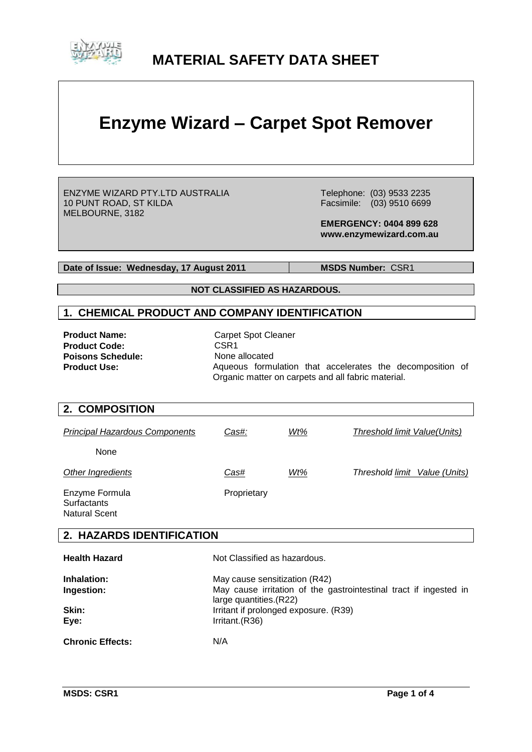

# **MATERIAL SAFETY DATA SHEET**

# **Enzyme Wizard – Carpet Spot Remover**

ENZYME WIZARD PTY.LTD AUSTRALIA 10 PUNT ROAD, ST KILDA MELBOURNE, 3182

 Telephone: (03) 9533 2235 Facsimile: (03) 9510 6699

 **EMERGENCY: 0404 899 628 www.enzymewizard.com.au**

**Date of Issue: Wednesday, 17 August 2011** MSDS Number: CSR1

**NOT CLASSIFIED AS HAZARDOUS.**

### **1. CHEMICAL PRODUCT AND COMPANY IDENTIFICATION**

**Product Code:** CSR1<br> **Poisons Schedule:** None allocated **Poisons Schedule:<br>Product Use:** 

**Product Name:** Carpet Spot Cleaner Aqueous formulation that accelerates the decomposition of Organic matter on carpets and all fabric material.

### **2. COMPOSITION**

| <b>Principal Hazardous Components</b> | Cas#:       | Wt% | Threshold limit Value(Units)  |
|---------------------------------------|-------------|-----|-------------------------------|
| None                                  |             |     |                               |
| Other Ingredients                     | Cas#        | Wt% | Threshold limit Value (Units) |
| Enzyme Formula<br>Surfactants         | Proprietary |     |                               |

iuriactants Natural Scent

# **2. HAZARDS IDENTIFICATION**

| <b>Health Hazard</b>    | Not Classified as hazardous.                                                                 |
|-------------------------|----------------------------------------------------------------------------------------------|
| Inhalation:             | May cause sensitization (R42)                                                                |
| Ingestion:              | May cause irritation of the gastrointestinal tract if ingested in<br>large quantities. (R22) |
| Skin:                   | Irritant if prolonged exposure. (R39)                                                        |
| Eye:                    | Irritant.(R36)                                                                               |
| <b>Chronic Effects:</b> | N/A                                                                                          |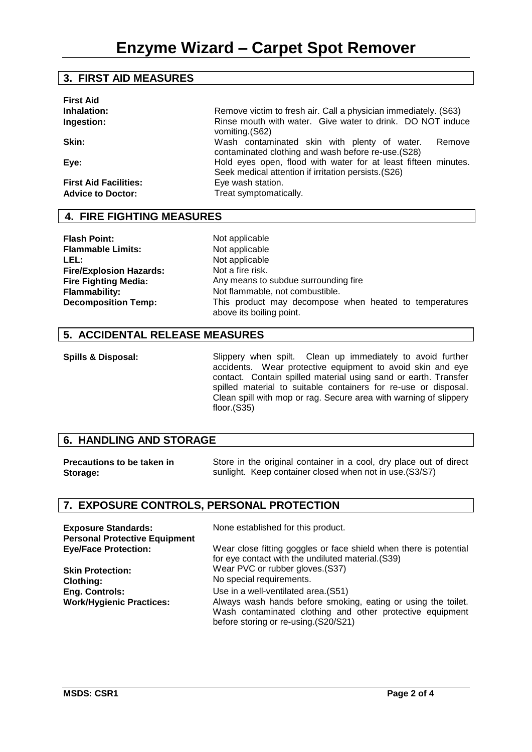# **3. FIRST AID MEASURES**

| <b>First Aid</b><br>Inhalation:<br>Ingestion:<br>Skin:           | Remove victim to fresh air. Call a physician immediately. (S63)<br>Rinse mouth with water. Give water to drink. DO NOT induce<br>vomiting (S62)<br>Wash contaminated skin with plenty of water.<br>Remove                    |
|------------------------------------------------------------------|------------------------------------------------------------------------------------------------------------------------------------------------------------------------------------------------------------------------------|
| Eve:<br><b>First Aid Facilities:</b><br><b>Advice to Doctor:</b> | contaminated clothing and wash before re-use. (S28)<br>Hold eyes open, flood with water for at least fifteen minutes.<br>Seek medical attention if irritation persists. (S26)<br>Eye wash station.<br>Treat symptomatically. |

# **4. FIRE FIGHTING MEASURES**

**Flash Point:** Not applicable<br> **Flammable Limits:** Not applicable **Flammable Limits:** LEL: Not applicable **Fire/Explosion Hazards: Fire Fighting Media:**

Not a fire risk. Any means to subdue surrounding fire **Flammability:** Not flammable, not combustible. **Decomposition Temp:** This product may decompose when heated to temperatures above its boiling point.

# **5. ACCIDENTAL RELEASE MEASURES**

**Spills & Disposal:** Slippery when spilt. Clean up immediately to avoid further accidents. Wear protective equipment to avoid skin and eye contact. Contain spilled material using sand or earth. Transfer spilled material to suitable containers for re-use or disposal. Clean spill with mop or rag. Secure area with warning of slippery floor.(S35)

### **6. HANDLING AND STORAGE**

| <b>Precautions to be taken in</b> | Store in the original container in a cool, dry place out of direct |
|-----------------------------------|--------------------------------------------------------------------|
| Storage:                          | sunlight. Keep container closed when not in use. (S3/S7)           |

# **7. EXPOSURE CONTROLS, PERSONAL PROTECTION**

| <b>Exposure Standards:</b><br><b>Personal Protective Equipment</b> | None established for this product.                                                                                                                                 |
|--------------------------------------------------------------------|--------------------------------------------------------------------------------------------------------------------------------------------------------------------|
| <b>Eye/Face Protection:</b>                                        | Wear close fitting goggles or face shield when there is potential<br>for eye contact with the undiluted material. (S39)                                            |
| <b>Skin Protection:</b>                                            | Wear PVC or rubber gloves. (S37)                                                                                                                                   |
| <b>Clothing:</b>                                                   | No special requirements.                                                                                                                                           |
| <b>Eng. Controls:</b>                                              | Use in a well-ventilated area. (S51)                                                                                                                               |
| <b>Work/Hygienic Practices:</b>                                    | Always wash hands before smoking, eating or using the toilet.<br>Wash contaminated clothing and other protective equipment<br>before storing or re-using.(S20/S21) |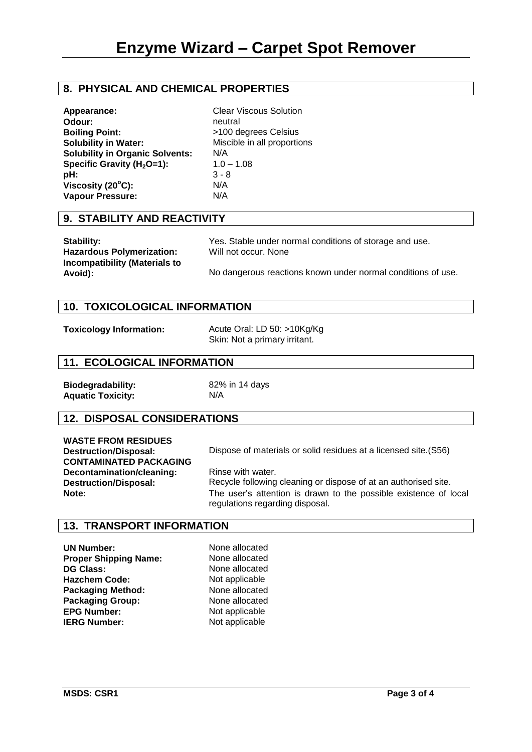# **8. PHYSICAL AND CHEMICAL PROPERTIES**

| Appearance:                            | <b>Clear Viscous Solution</b> |
|----------------------------------------|-------------------------------|
| Odour:                                 | neutral                       |
| <b>Boiling Point:</b>                  | >100 degrees Celsius          |
| <b>Solubility in Water:</b>            | Miscible in all proportions   |
| <b>Solubility in Organic Solvents:</b> | N/A                           |
| Specific Gravity ( $H_2O=1$ ):         | $1.0 - 1.08$                  |
| pH:                                    | $3 - 8$                       |
| Viscosity $(20^{\circ}C)$ :            | N/A                           |
| <b>Vapour Pressure:</b>                | N/A                           |

#### **9. STABILITY AND REACTIVITY**

| Stability:                           | Y، |
|--------------------------------------|----|
| <b>Hazardous Polymerization:</b>     | W  |
| <b>Incompatibility (Materials to</b> |    |
| Avoid):                              | N٥ |

es. Stable under normal conditions of storage and use. **Hill not occur. None** 

o dangerous reactions known under normal conditions of use.

# **10. TOXICOLOGICAL INFORMATION**

|  | <b>Toxicology Information:</b> |
|--|--------------------------------|
|--|--------------------------------|

**Toxicology Information:** Acute Oral: LD 50: >10Kg/Kg Skin: Not a primary irritant.

# **11. ECOLOGICAL INFORMATION**

**Biodegradability:** 82% in 14 days **Aquatic Toxicity:** N/A

# **12. DISPOSAL CONSIDERATIONS**

**WASTE FROM RESIDUES CONTAMINATED PACKAGING Decontamination/cleaning: Destruction/Disposal:**

**Destruction/Disposal:** Dispose of materials or solid residues at a licensed site.(S56)

Rinse with water. Recycle following cleaning or dispose of at an authorised site. **Note:** The user's attention is drawn to the possible existence of local regulations regarding disposal.

### **13. TRANSPORT INFORMATION**

**None allocated None allocated DG Class:** None allocated **Not applicable None allocated Packaging Group:** None allocated **Not applicable Not applicable**